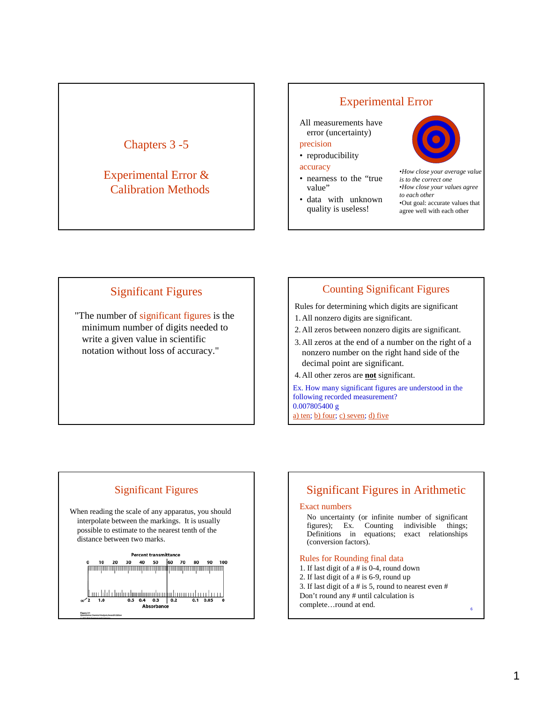# Chapters 3 -5

## Experimental Error & Calibration Methods

## Experimental Error

All measurements have error (uncertainty)

#### precision

• reproducibility

#### accuracy

- nearness to the "true value"
- data with unknown quality is useless!



•*How close your average value is to the correct one* •*How close your values agree to each other* •Out goal: accurate values that agree well with each other

## Significant Figures

"The number of significant figures is the minimum number of digits needed to write a given value in scientific notation without loss of accuracy."

### Counting Significant Figures

Rules for determining which digits are significant

- 1. All nonzero digits are significant.
- 2. All zeros between nonzero digits are significant.
- 3. All zeros at the end of a number on the right of a nonzero number on the right hand side of the decimal point are significant.
- 4. All other zeros are **not** significant.

Ex. How many significant figures are understood in the following recorded measurement? 0.007805400 g a) ten; b) four; c) seven; d) five

# Significant Figures

When reading the scale of any apparatus, you should interpolate between the markings. It is usually possible to estimate to the nearest tenth of the distance between two marks.



# Significant Figures in Arithmetic

#### Exact numbers

No uncertainty (or infinite number of significant figures); Ex. Counting indivisible things; Definitions in equations; exact relationships (conversion factors).

#### Rules for Rounding final data

- 1. If last digit of a # is 0-4, round down
- 2. If last digit of a # is 6-9, round up
- 3. If last digit of a # is 5, round to nearest even #
- Don't round any # until calculation is
- complete…round at end.

6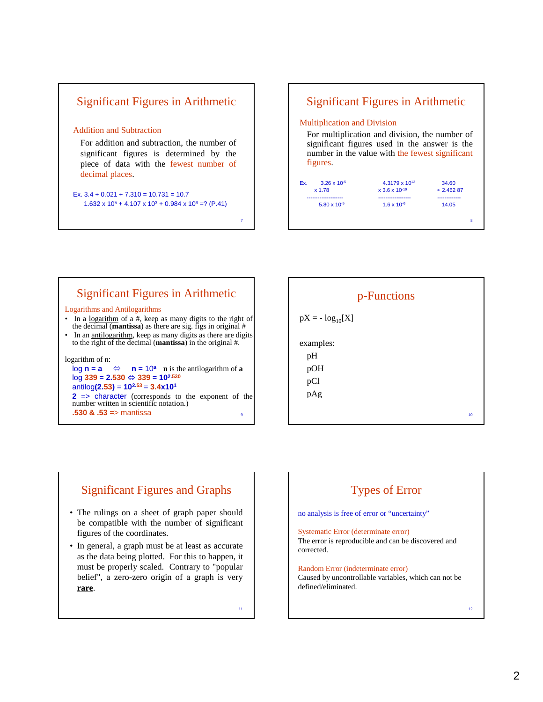## Significant Figures in Arithmetic

#### Addition and Subtraction

For addition and subtraction, the number of significant figures is determined by the piece of data with the fewest number of decimal places.

Ex.  $3.4 + 0.021 + 7.310 = 10.731 = 10.7$  $1.632 \times 10^5 + 4.107 \times 10^3 + 0.984 \times 10^6 = ? (P.41)$ 

### Significant Figures in Arithmetic

#### Multiplication and Division

For multiplication and division, the number of significant figures used in the answer is the number in the value with the fewest significant figures.



## Significant Figures in Arithmetic

#### Logarithms and Antilogarithms

- In a <u>logarithm</u> of a #, keep as many digits to the right of the decimal (**mantissa**) as there are sig. figs in original #
- In an antilogarithm, keep as many digits as there are digits to the right of the decimal (**mantissa**) in the original #.

logarithm of n:

 $\log n = a$   $\Leftrightarrow$   $n = 10^a$  **n** is the antilogarithm of **a**  $log 339 = 2.530 \Leftrightarrow 339 = 10^{2.530}$ antilog**(2.53)** = **102.53** = **3.4x101 2** => character (corresponds to the exponent of the

9 number written in scientific notation.)

# **.530 & .53** => mantissa <sup>10</sup> p-Functions  $pX = -\log_{10}[X]$ examples: pH pOH pCl pAg

### Significant Figures and Graphs

- The rulings on a sheet of graph paper should be compatible with the number of significant figures of the coordinates.
- In general, a graph must be at least as accurate as the data being plotted. For this to happen, it must be properly scaled. Contrary to "popular belief", a zero-zero origin of a graph is very **rare**.

11

7

# Types of Error no analysis is free of error or "uncertainty" Systematic Error (determinate error)

The error is reproducible and can be discovered and corrected.

#### Random Error (indeterminate error) Caused by uncontrollable variables, which can not be defined/eliminated.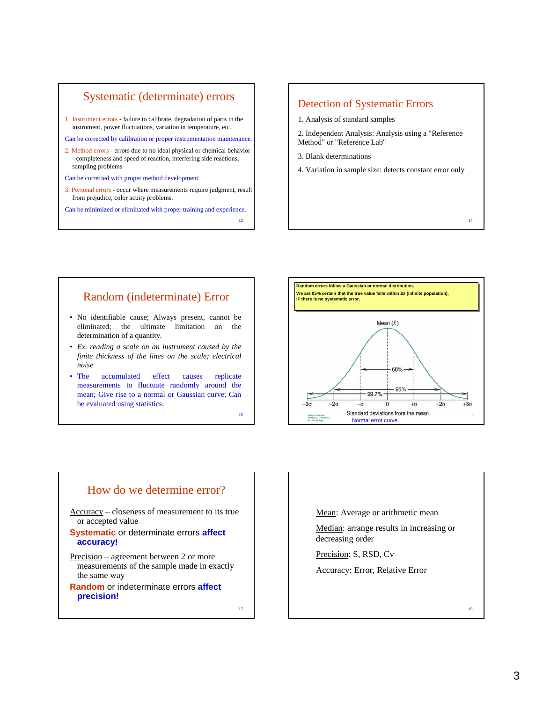### Systematic (determinate) errors

- 1. Instrument errors failure to calibrate, degradation of parts in the instrument, power fluctuations, variation in temperature, etc.
- Can be corrected by calibration or proper instrumentation maintenance.
- 2. Method errors errors due to no ideal physical or chemical behavior - completeness and speed of reaction, interfering side reactions, sampling problems
- Can be corrected with proper method development.
- 3. Personal errors occur where measurements require judgment, result from prejudice, color acuity problems.

Can be minimized or eliminated with proper training and experience.

13

15

#### Detection of Systematic Errors

- 1. Analysis of standard samples
- 2. Independent Analysis: Analysis using a "Reference Method" or "Reference Lab"
- 3. Blank determinations
- 4. Variation in sample size: detects constant error only

#### Random (indeterminate) Error

- No identifiable cause; Always present, cannot be eliminated; the ultimate limitation on the determination of a quantity.
- *Ex. reading a scale on an instrument caused by the finite thickness of the lines on the scale; electrical noise*
- The accumulated effect causes replicate measurements to fluctuate randomly around the mean; Give rise to a normal or Gaussian curve; Can be evaluated using statistics.





Mean: Average or arithmetic mean

Median: arrange results in increasing or decreasing order

Precision: S, RSD, Cv

Accuracy: Error, Relative Error

14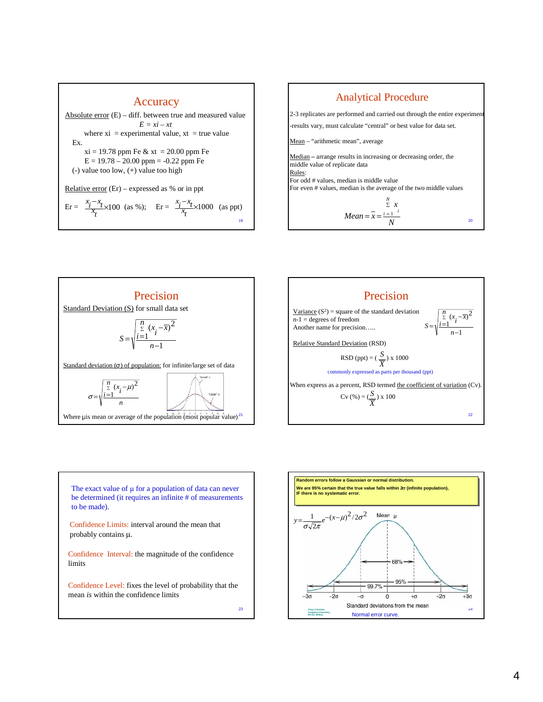









**Random errors follow a Gaussian or normal distribution. Random errors follow a Gaussian or normal distribution. We are 95% certain that the true value falls within 2**σ **(infinite population), We are 95% certain that the true value falls within 2**σ **(infinite population), IF there is no systematic error. IF there is no systematic error.**  $(x-\mu)^2/2\sigma^2$  Mean  $\mu$ 1  $e^{-(x-\mu)^2/2\sigma}$  $y = \frac{1}{\sigma \sqrt{2\pi}} e^{-(x-\sigma)}$ 2 68% 95% 99.7%- $-2\sigma$  $\mathbf{0}$  $+2\sigma$  $+3\sigma$ -σ  $+\sigma$ Standard deviations from the mean 24 **©Gary Christian, Analytical Chemistry, 6th Ed. (Wiley)** Normal error curve.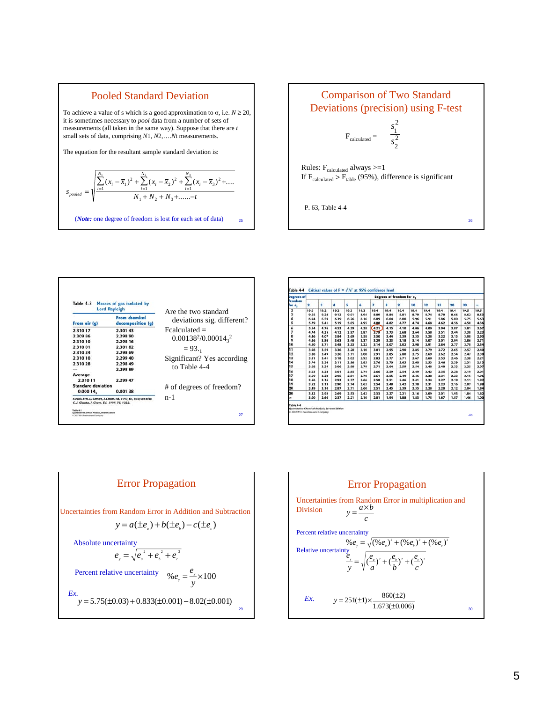

#### Comparison of Two Standard Deviations (precision) using F-test

$$
F_{calculated} = \frac{s_1^2}{s_2^2}
$$

Rules:  $\rm F_{calculated}$  always  $>=\!1$ If  $F_{caledculated} > F_{table}$  (95%), difference is significant

P. 63, Table 4-4

|                           |                                           | Are the two standard          |  |  |  |  |  |
|---------------------------|-------------------------------------------|-------------------------------|--|--|--|--|--|
| From air (g)              | <b>From chemical</b><br>decomposition (q) | deviations sig. different?    |  |  |  |  |  |
| 2.310 17                  | 2.301 43                                  | $Fealculated =$               |  |  |  |  |  |
| 2,309 86                  | 2,298 90                                  |                               |  |  |  |  |  |
| 2,310 10                  | 2.298 16                                  | $0.00138^{2}/0.00014_{2}^{2}$ |  |  |  |  |  |
| 2,310 01                  | 2.30182                                   | $= 93.$                       |  |  |  |  |  |
| 2,310 24                  | 2.298 69                                  |                               |  |  |  |  |  |
| 2.31010                   | 2.299 40                                  | Significant? Yes according    |  |  |  |  |  |
| 2.310 28                  | 2.298.49                                  |                               |  |  |  |  |  |
|                           | 2.29889                                   | to Table 4-4                  |  |  |  |  |  |
| Average                   |                                           |                               |  |  |  |  |  |
| 2,310 11                  | 2.299 47                                  |                               |  |  |  |  |  |
| <b>Standard deviation</b> |                                           | # of degrees of freedom?      |  |  |  |  |  |
| 0.00014,                  | 0.00138                                   |                               |  |  |  |  |  |

| Degrees of<br>freedom<br>for s. |                         | Degrees of freedom for s. |      |      |      |                |      |      |      |      |      |      |      |      |
|---------------------------------|-------------------------|---------------------------|------|------|------|----------------|------|------|------|------|------|------|------|------|
|                                 | $\overline{\mathbf{2}}$ | 3                         | 4    | 5    | 6    | $\overline{r}$ | 8    | 9    | 10   | 12   | 15   | 20   | 30   | ×.   |
| $\overline{\mathbf{z}}$         | 19.0                    | 19.2                      | 19.2 | 19.3 | 19.3 | 19.4           | 19.4 | 19.4 | 19.4 | 19.4 | 19.4 | 19.4 | 19.5 | 19.5 |
| 3                               | 9.55                    | 9.28                      | 9.12 | 9.01 | 8.94 | 8.89           | 8.84 | 8.81 | 8.79 | 8.74 | 8.70 | 8.66 | 8.62 | 8.53 |
| 4                               | 6.94                    | 6.59                      | 6.39 | 6.26 | 6.16 | 6.09           | 6.04 | 6.00 | 5.96 | 5.91 | 5.86 | 5.80 | 5.75 | 5.63 |
| 5                               | 5.79                    | 5.41                      | 5.19 | 5.05 | 4.95 | 4.88           | 4,82 | 4.77 | 4.74 | 4,68 | 4.62 | 4.56 | 4.50 | 4.36 |
| 6                               | 5.14                    | 4.76                      | 4.53 | 4.39 | 4.28 | 4.21           | 4.15 | 4.10 | 4.06 | 4.00 | 3.94 | 3.87 | 3.81 | 3.67 |
| 7                               | 4.74                    | 4.35                      | 4.12 | 3.97 | 3.87 | 3.79           | 3.73 | 3.68 | 3.64 | 3.58 | 3.51 | 3.44 | 3.38 | 3.23 |
| 8                               | 4.46                    | 4.07                      | 3.84 | 3.69 | 3.58 | 3.50           | 3.44 | 3.39 | 3.35 | 3.28 | 3.22 | 3.15 | 3.08 | 2.93 |
| 9                               | 4.26                    | 3.86                      | 3.63 | 3.48 | 3.37 | 3.29           | 3.23 | 3.18 | 3.14 | 3.07 | 3.01 | 2.94 | 2.86 | 2.71 |
| 10                              | 4.10                    | 3.71                      | 3.48 | 3.33 | 3.22 | 3.14           | 3.07 | 3.02 | 2.98 | 2.91 | 2.84 | 2.77 | 2.70 | 2.54 |
| 11                              | 3.98                    | 3.59                      | 3.36 | 3.20 | 3.10 | 3.01           | 2.95 | 2.90 | 2.85 | 2.79 | 2.72 | 2.65 | 2.57 | 2.40 |
| 12                              | 3.88                    | 3.49                      | 3.26 | 3.11 | 3.00 | 2.91           | 2.85 | 2.80 | 2.75 | 2.69 | 2.62 | 2.54 | 2.47 | 2.30 |
| 13                              | 3.81                    | 3.41                      | 3.18 | 3.02 | 2.92 | 2.83           | 2.77 | 2.71 | 2.67 | 2.60 | 2.53 | 2.46 | 2.38 | 2.21 |
| 14                              | 3.74                    | 3.34                      | 3.11 | 2.96 | 2.85 | 2.76           | 2.70 | 2.65 | 2.60 | 2.53 | 2.46 | 2.39 | 2.31 | 2.13 |
| 15                              | 3.68                    | 3.29                      | 3.06 | 2.90 | 2.79 | 2.71           | 2.64 | 2.59 | 2.54 | 2.48 | 2.40 | 2.33 | 2.25 | 2.07 |
| 16                              | 88.8                    | 3.24                      | 3.01 | 2.85 | 2.74 | 2.66           | 2.59 | 2.54 | 2.49 | 2.42 | 2.35 | 2.28 | 2.19 | 2.01 |
| 17                              | 3.59                    | 3.20                      | 2.96 | 2.81 | 2.70 | 2.61           | 2.55 | 2.49 | 2.45 | 2.38 | 2.31 | 2.23 | 2.15 | 1.96 |
| 18                              | 3.56                    | 3.16                      | 2.93 | 2.77 | 2.66 | 2.58           | 2.51 | 2.46 | 2.41 | 2.34 | 2.27 | 2.19 | 2.11 | 1.92 |
| 19                              | 3.52                    | 3.13                      | 2.90 | 2.74 | 2.63 | 2.54           | 2.48 | 2.42 | 2.38 | 2.31 | 2.23 | 2.16 | 2.07 | 1.88 |
| 20                              | 3.49                    | 3.10                      | 2.87 | 2.71 | 2.60 | 2.51           | 2.45 | 2.39 | 2.35 | 2.28 | 2.20 | 2.12 | 2.04 | 1.84 |
| 30                              | 3.32                    | 2.92                      | 2.69 | 2.53 | 2.42 | 2.33           | 2.27 | 2.21 | 2.16 | 2.09 | 2.01 | 1.93 | 1.84 | 1.62 |
| ×                               | 3.00                    | 2.60                      | 2.37 | 2.21 | 2.10 | 2.01           | 1.94 | 1,88 | 1,83 | 1.75 | 1.67 | 1.57 | 1.46 | 1.00 |